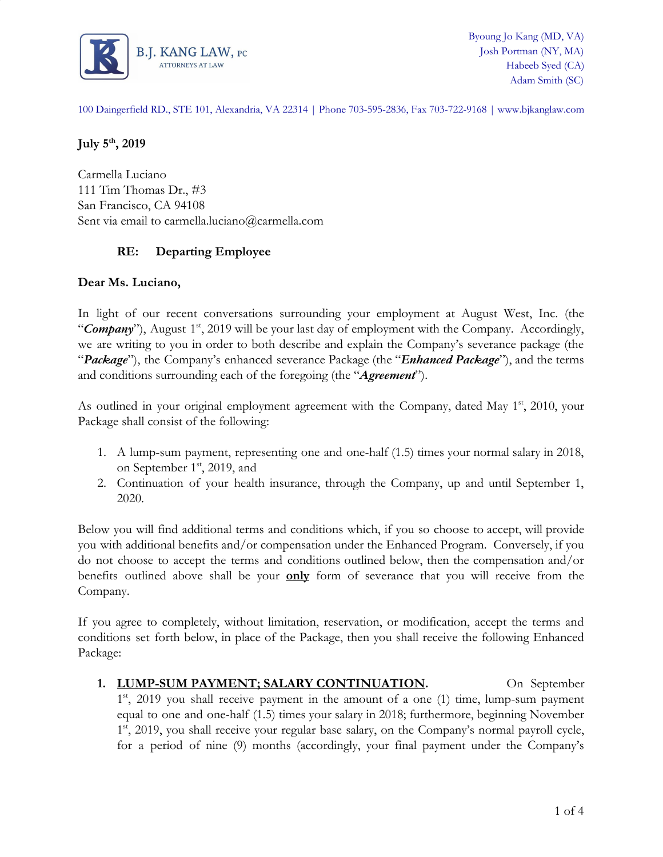

100 Daingerfield RD., STE 101, Alexandria, VA 22314 | Phone 703-595-2836, Fax 703-722-9168 | www.bjkanglaw.com

# **July 5th , 2019**

Carmella Luciano 111 Tim Thomas Dr., #3 San Francisco, CA 94108 Sent via email to carmella.luciano@carmella.com

# **RE: Departing Employee**

## **Dear Ms. Luciano,**

In light of our recent conversations surrounding your employment at August West, Inc. (the "Company"), August 1<sup>st</sup>, 2019 will be your last day of employment with the Company. Accordingly, we are writing to you in order to both describe and explain the Company's severance package (the "*Package*"), the Company's enhanced severance Package (the "*Enhanced Package*"), and the terms and conditions surrounding each of the foregoing (the "*Agreement*").

As outlined in your original employment agreement with the Company, dated May 1<sup>st</sup>, 2010, your Package shall consist of the following:

- 1. A lump-sum payment, representing one and one-half (1.5) times your normal salary in 2018, on September 1<sup>st</sup>, 2019, and
- 2. Continuation of your health insurance, through the Company, up and until September 1, 2020.

Below you will find additional terms and conditions which, if you so choose to accept, will provide you with additional benefits and/or compensation under the Enhanced Program. Conversely, if you do not choose to accept the terms and conditions outlined below, then the compensation and/or benefits outlined above shall be your **only** form of severance that you will receive from the Company.

If you agree to completely, without limitation, reservation, or modification, accept the terms and conditions set forth below, in place of the Package, then you shall receive the following Enhanced Package:

1. **LUMP-SUM PAYMENT; SALARY CONTINUATION.** On September 1<sup>st</sup>, 2019 you shall receive payment in the amount of a one (1) time, lump-sum payment equal to one and one-half (1.5) times your salary in 2018; furthermore, beginning November 1<sup>st</sup>, 2019, you shall receive your regular base salary, on the Company's normal payroll cycle, for a period of nine (9) months (accordingly, your final payment under the Company's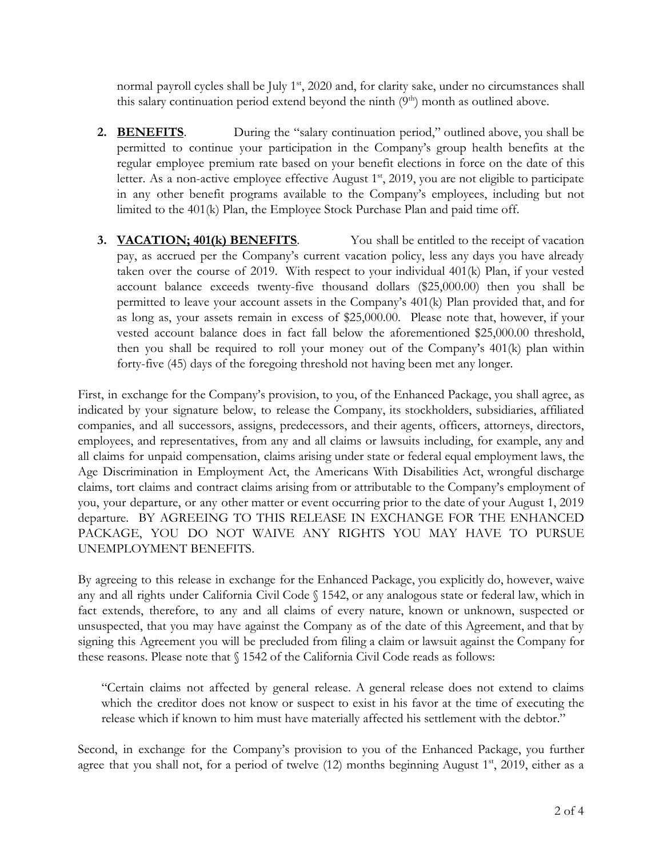normal payroll cycles shall be July 1<sup>st</sup>, 2020 and, for clarity sake, under no circumstances shall this salary continuation period extend beyond the ninth  $(9<sup>th</sup>)$  month as outlined above.

- **2. BENEFITS**. During the "salary continuation period," outlined above, you shall be permitted to continue your participation in the Company's group health benefits at the regular employee premium rate based on your benefit elections in force on the date of this letter. As a non-active employee effective August 1<sup>st</sup>, 2019, you are not eligible to participate in any other benefit programs available to the Company's employees, including but not limited to the 401(k) Plan, the Employee Stock Purchase Plan and paid time off.
- **3. VACATION; 401(k) BENEFITS**. You shall be entitled to the receipt of vacation pay, as accrued per the Company's current vacation policy, less any days you have already taken over the course of 2019. With respect to your individual 401(k) Plan, if your vested account balance exceeds twenty-five thousand dollars (\$25,000.00) then you shall be permitted to leave your account assets in the Company's 401(k) Plan provided that, and for as long as, your assets remain in excess of \$25,000.00. Please note that, however, if your vested account balance does in fact fall below the aforementioned \$25,000.00 threshold, then you shall be required to roll your money out of the Company's 401(k) plan within forty-five (45) days of the foregoing threshold not having been met any longer.

First, in exchange for the Company's provision, to you, of the Enhanced Package, you shall agree, as indicated by your signature below, to release the Company, its stockholders, subsidiaries, affiliated companies, and all successors, assigns, predecessors, and their agents, officers, attorneys, directors, employees, and representatives, from any and all claims or lawsuits including, for example, any and all claims for unpaid compensation, claims arising under state or federal equal employment laws, the Age Discrimination in Employment Act, the Americans With Disabilities Act, wrongful discharge claims, tort claims and contract claims arising from or attributable to the Company's employment of you, your departure, or any other matter or event occurring prior to the date of your August 1, 2019 departure. BY AGREEING TO THIS RELEASE IN EXCHANGE FOR THE ENHANCED PACKAGE, YOU DO NOT WAIVE ANY RIGHTS YOU MAY HAVE TO PURSUE UNEMPLOYMENT BENEFITS.

By agreeing to this release in exchange for the Enhanced Package, you explicitly do, however, waive any and all rights under California Civil Code § 1542, or any analogous state or federal law, which in fact extends, therefore, to any and all claims of every nature, known or unknown, suspected or unsuspected, that you may have against the Company as of the date of this Agreement, and that by signing this Agreement you will be precluded from filing a claim or lawsuit against the Company for these reasons. Please note that § 1542 of the California Civil Code reads as follows:

"Certain claims not affected by general release. A general release does not extend to claims which the creditor does not know or suspect to exist in his favor at the time of executing the release which if known to him must have materially affected his settlement with the debtor."

Second, in exchange for the Company's provision to you of the Enhanced Package, you further agree that you shall not, for a period of twelve (12) months beginning August 1<sup>st</sup>, 2019, either as a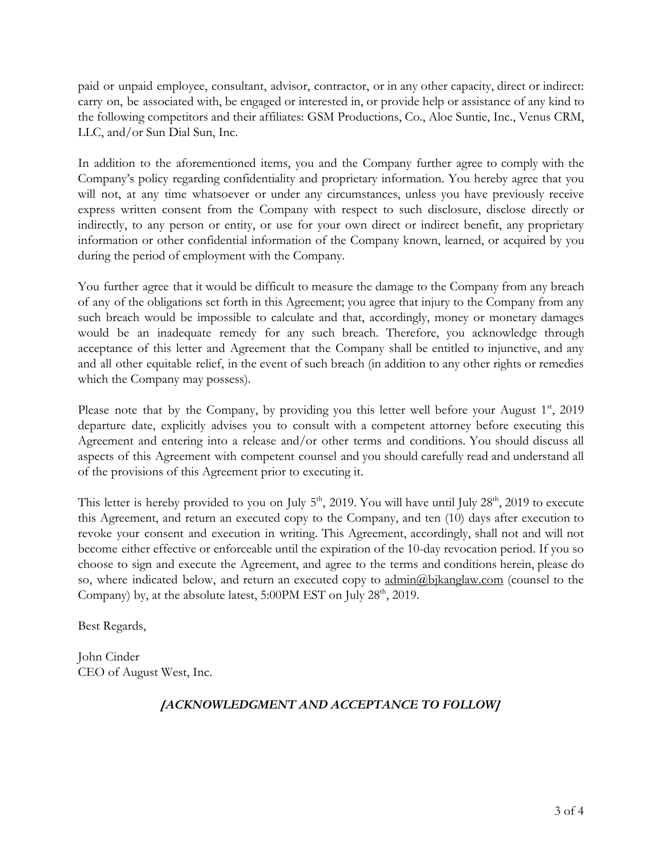paid or unpaid employee, consultant, advisor, contractor, or in any other capacity, direct or indirect: carry on, be associated with, be engaged or interested in, or provide help or assistance of any kind to the following competitors and their affiliates: GSM Productions, Co., Aloe Suntie, Inc., Venus CRM, LLC, and/or Sun Dial Sun, Inc.

In addition to the aforementioned items, you and the Company further agree to comply with the Company's policy regarding confidentiality and proprietary information. You hereby agree that you will not, at any time whatsoever or under any circumstances, unless you have previously receive express written consent from the Company with respect to such disclosure, disclose directly or indirectly, to any person or entity, or use for your own direct or indirect benefit, any proprietary information or other confidential information of the Company known, learned, or acquired by you during the period of employment with the Company.

You further agree that it would be difficult to measure the damage to the Company from any breach of any of the obligations set forth in this Agreement; you agree that injury to the Company from any such breach would be impossible to calculate and that, accordingly, money or monetary damages would be an inadequate remedy for any such breach. Therefore, you acknowledge through acceptance of this letter and Agreement that the Company shall be entitled to injunctive, and any and all other equitable relief, in the event of such breach (in addition to any other rights or remedies which the Company may possess).

Please note that by the Company, by providing you this letter well before your August 1st, 2019 departure date, explicitly advises you to consult with a competent attorney before executing this Agreement and entering into a release and/or other terms and conditions. You should discuss all aspects of this Agreement with competent counsel and you should carefully read and understand all of the provisions of this Agreement prior to executing it.

This letter is hereby provided to you on July  $5<sup>th</sup>$ , 2019. You will have until July  $28<sup>th</sup>$ , 2019 to execute this Agreement, and return an executed copy to the Company, and ten (10) days after execution to revoke your consent and execution in writing. This Agreement, accordingly, shall not and will not become either effective or enforceable until the expiration of the 10-day revocation period. If you so choose to sign and execute the Agreement, and agree to the terms and conditions herein, please do so, where indicated below, and return an executed copy to [admin@bjkanglaw.com](mailto:admin@bjkanglaw.com) (counsel to the Company) by, at the absolute latest,  $5:00PM$  EST on July  $28<sup>th</sup>$ ,  $2019$ .

Best Regards,

John Cinder CEO of August West, Inc.

# *[ACKNOWLEDGMENT AND ACCEPTANCE TO FOLLOW]*